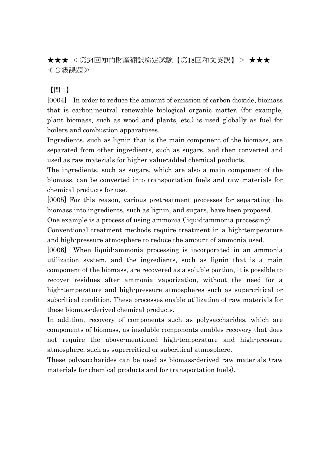★★★ <第34回知的財産翻訳検定試験【第18回和文英訳】> ★★★ ≪2級課題≫

【問 1】

[0004] In order to reduce the amount of emission of carbon dioxide, biomass that is carbon-neutral renewable biological organic matter, (for example, plant biomass, such as wood and plants, etc.) is used globally as fuel for boilers and combustion apparatuses.

Ingredients, such as lignin that is the main component of the biomass, are separated from other ingredients, such as sugars, and then converted and used as raw materials for higher value-added chemical products.

The ingredients, such as sugars, which are also a main component of the biomass, can be converted into transportation fuels and raw materials for chemical products for use.

[0005] For this reason, various pretreatment processes for separating the biomass into ingredients, such as lignin, and sugars, have been proposed.

One example is a process of using ammonia (liquid-ammonia processing).

Conventional treatment methods require treatment in a high-temperature and high-pressure atmosphere to reduce the amount of ammonia used.

[0006] When liquid-ammonia processing is incorporated in an ammonia utilization system, and the ingredients, such as lignin that is a main component of the biomass, are recovered as a soluble portion, it is possible to recover residues after ammonia vaporization, without the need for a high-temperature and high-pressure atmospheres such as supercritical or subcritical condition. These processes enable utilization of raw materials for these biomass-derived chemical products.

In addition, recovery of components such as polysaccharides, which are components of biomass, as insoluble components enables recovery that does not require the above-mentioned high-temperature and high-pressure atmosphere, such as supercritical or subcritical atmosphere.

These polysaccharides can be used as biomass-derived raw materials (raw materials for chemical products and for transportation fuels).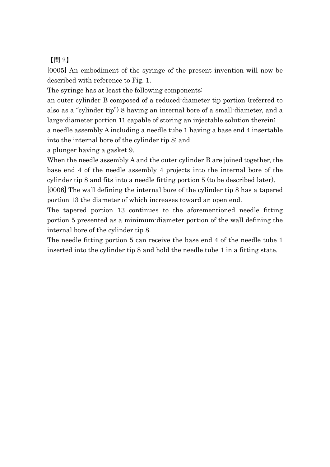【問 2】

[0005] An embodiment of the syringe of the present invention will now be described with reference to Fig. 1.

The syringe has at least the following components:

an outer cylinder B composed of a reduced-diameter tip portion (referred to also as a "cylinder tip") 8 having an internal bore of a small-diameter, and a large-diameter portion 11 capable of storing an injectable solution therein; a needle assembly A including a needle tube 1 having a base end 4 insertable into the internal bore of the cylinder tip 8; and

a plunger having a gasket 9.

When the needle assembly A and the outer cylinder B are joined together, the base end 4 of the needle assembly 4 projects into the internal bore of the cylinder tip 8 and fits into a needle fitting portion 5 (to be described later).

[0006] The wall defining the internal bore of the cylinder tip 8 has a tapered portion 13 the diameter of which increases toward an open end.

The tapered portion 13 continues to the aforementioned needle fitting portion 5 presented as a minimum-diameter portion of the wall defining the internal bore of the cylinder tip 8.

The needle fitting portion 5 can receive the base end 4 of the needle tube 1 inserted into the cylinder tip 8 and hold the needle tube 1 in a fitting state.